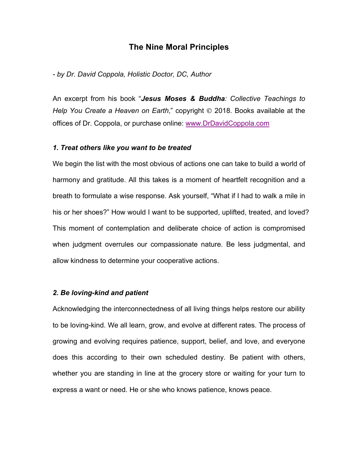# **The Nine Moral Principles**

## *- by Dr. David Coppola, Holistic Doctor, DC, Author*

An excerpt from his book "*Jesus Moses & Buddha: Collective Teachings to Help You Create a Heaven on Earth*," copyright © 2018. Books available at the offices of Dr. Coppola, or purchase online: www.DrDavidCoppola.com

## *1. Treat others like you want to be treated*

We begin the list with the most obvious of actions one can take to build a world of harmony and gratitude. All this takes is a moment of heartfelt recognition and a breath to formulate a wise response. Ask yourself, "What if I had to walk a mile in his or her shoes?" How would I want to be supported, uplifted, treated, and loved? This moment of contemplation and deliberate choice of action is compromised when judgment overrules our compassionate nature. Be less judgmental, and allow kindness to determine your cooperative actions.

# *2. Be loving-kind and patient*

Acknowledging the interconnectedness of all living things helps restore our ability to be loving-kind. We all learn, grow, and evolve at different rates. The process of growing and evolving requires patience, support, belief, and love, and everyone does this according to their own scheduled destiny. Be patient with others, whether you are standing in line at the grocery store or waiting for your turn to express a want or need. He or she who knows patience, knows peace.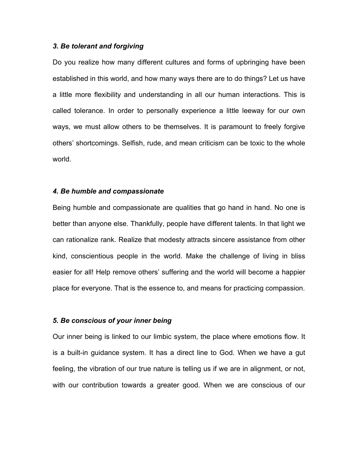## *3. Be tolerant and forgiving*

Do you realize how many different cultures and forms of upbringing have been established in this world, and how many ways there are to do things? Let us have a little more flexibility and understanding in all our human interactions. This is called tolerance. In order to personally experience a little leeway for our own ways, we must allow others to be themselves. It is paramount to freely forgive others' shortcomings. Selfish, rude, and mean criticism can be toxic to the whole world.

#### *4. Be humble and compassionate*

Being humble and compassionate are qualities that go hand in hand. No one is better than anyone else. Thankfully, people have different talents. In that light we can rationalize rank. Realize that modesty attracts sincere assistance from other kind, conscientious people in the world. Make the challenge of living in bliss easier for all! Help remove others' suffering and the world will become a happier place for everyone. That is the essence to, and means for practicing compassion.

## *5. Be conscious of your inner being*

Our inner being is linked to our limbic system, the place where emotions flow. It is a built-in guidance system. It has a direct line to God. When we have a gut feeling, the vibration of our true nature is telling us if we are in alignment, or not, with our contribution towards a greater good. When we are conscious of our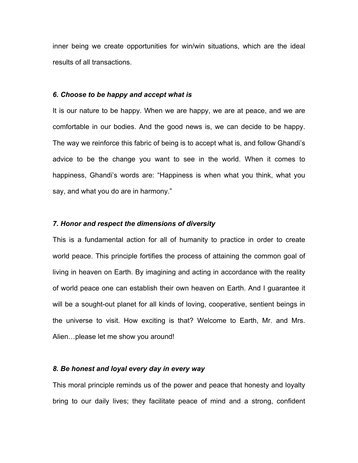inner being we create opportunities for win/win situations, which are the ideal results of all transactions.

#### *6. Choose to be happy and accept what is*

It is our nature to be happy. When we are happy, we are at peace, and we are comfortable in our bodies. And the good news is, we can decide to be happy. The way we reinforce this fabric of being is to accept what is, and follow Ghandi's advice to be the change you want to see in the world. When it comes to happiness, Ghandi's words are: "Happiness is when what you think, what you say, and what you do are in harmony."

#### *7. Honor and respect the dimensions of diversity*

This is a fundamental action for all of humanity to practice in order to create world peace. This principle fortifies the process of attaining the common goal of living in heaven on Earth. By imagining and acting in accordance with the reality of world peace one can establish their own heaven on Earth. And I guarantee it will be a sought-out planet for all kinds of loving, cooperative, sentient beings in the universe to visit. How exciting is that? Welcome to Earth, Mr. and Mrs. Alien…please let me show you around!

## *8. Be honest and loyal every day in every way*

This moral principle reminds us of the power and peace that honesty and loyalty bring to our daily lives; they facilitate peace of mind and a strong, confident